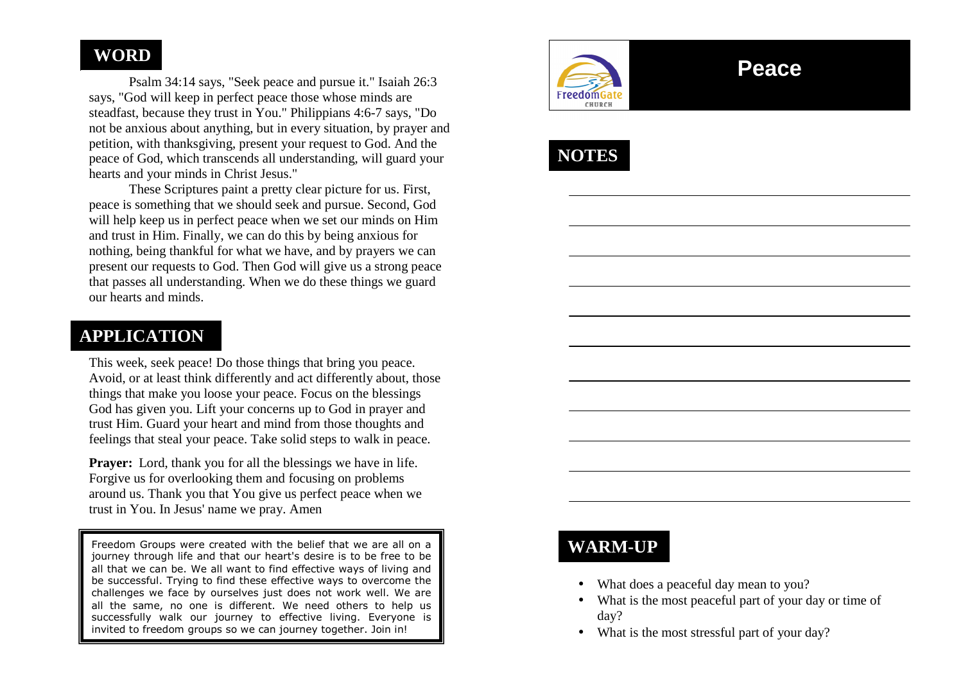## **WORD**

 Psalm 34:14 says, "Seek peace and pursue it." Isaiah 26:3 says, "God will keep in perfect peace those whose minds are steadfast, because they trust in You." Philippians 4:6-7 says, "Do not be anxious about anything, but in every situation, by prayer and petition, with thanksgiving, present your request to God. And the peace of God, which transcends all understanding, will guard your hearts and your minds in Christ Jesus."

 These Scriptures paint a pretty clear picture for us. First, peace is something that we should seek and pursue. Second, God will help keep us in perfect peace when we set our minds on Him and trust in Him. Finally, we can do this by being anxious for nothing, being thankful for what we have, and by prayers we can present our requests to God. Then God will give us a strong peace that passes all understanding. When we do these things we guard our hearts and minds.

## **APPLICATION**

This week, seek peace! Do those things that bring you peace. Avoid, or at least think differently and act differently about, those things that make you loose your peace. Focus on the blessings God has given you. Lift your concerns up to God in prayer and trust Him. Guard your heart and mind from those thoughts and feelings that steal your peace. Take solid steps to walk in peace.

**Prayer:** Lord, thank you for all the blessings we have in life. Forgive us for overlooking them and focusing on problems around us. Thank you that You give us perfect peace when we trust in You. In Jesus' name we pray. Amen

Freedom Groups were created with the belief that we are all on a journey through life and that our heart's desire is to be free to be all that we can be. We all want to find effective ways of living and be successful. Trying to find these effective ways to overcome the challenges we face by ourselves just does not work well. We are all the same, no one is different. We need others to help us successfully walk our journey to effective living. Everyone is invited to freedom groups so we can journey together. Join in!



# **Peace**

**NOTES** 

## **WARM-UP**

- What does a peaceful day mean to you?
- • What is the most peaceful part of your day or time of day?
- What is the most stressful part of your day?